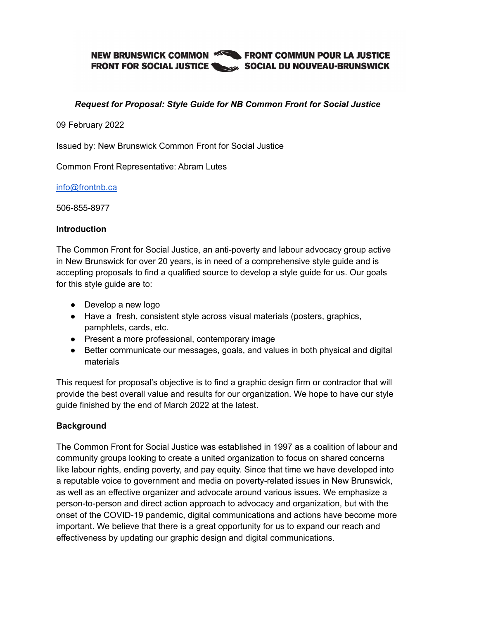## NEW BRUNSWICK COMMON **EXAMPLE FRONT COMMUN POUR LA JUSTICE FRONT FOR SOCIAL JUSTICE SOCIAL DU NOUVEAU-BRUNSWICK**

### *Request for Proposal: Style Guide for NB Common Front for Social Justice*

09 February 2022

Issued by: New Brunswick Common Front for Social Justice

Common Front Representative: Abram Lutes

[info@frontnb.ca](mailto:info@frontnb.ca)

506-855-8977

#### **Introduction**

The Common Front for Social Justice, an anti-poverty and labour advocacy group active in New Brunswick for over 20 years, is in need of a comprehensive style guide and is accepting proposals to find a qualified source to develop a style guide for us. Our goals for this style guide are to:

- Develop a new logo
- Have a fresh, consistent style across visual materials (posters, graphics, pamphlets, cards, etc.
- Present a more professional, contemporary image
- Better communicate our messages, goals, and values in both physical and digital materials

This request for proposal's objective is to find a graphic design firm or contractor that will provide the best overall value and results for our organization. We hope to have our style guide finished by the end of March 2022 at the latest.

### **Background**

The Common Front for Social Justice was established in 1997 as a coalition of labour and community groups looking to create a united organization to focus on shared concerns like labour rights, ending poverty, and pay equity. Since that time we have developed into a reputable voice to government and media on poverty-related issues in New Brunswick, as well as an effective organizer and advocate around various issues. We emphasize a person-to-person and direct action approach to advocacy and organization, but with the onset of the COVID-19 pandemic, digital communications and actions have become more important. We believe that there is a great opportunity for us to expand our reach and effectiveness by updating our graphic design and digital communications.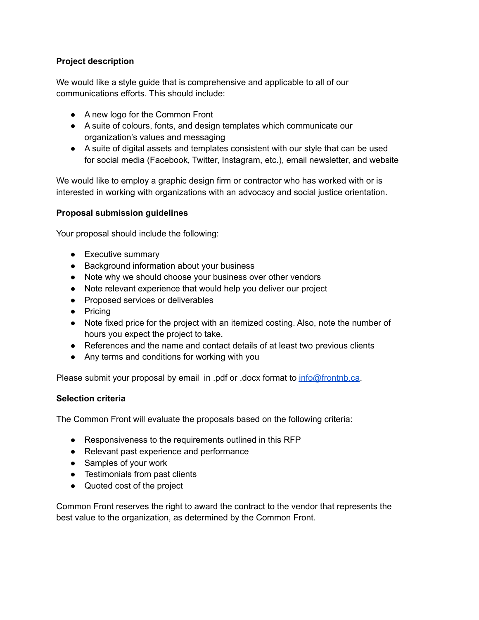### **Project description**

We would like a style guide that is comprehensive and applicable to all of our communications efforts. This should include:

- A new logo for the Common Front
- A suite of colours, fonts, and design templates which communicate our organization's values and messaging
- A suite of digital assets and templates consistent with our style that can be used for social media (Facebook, Twitter, Instagram, etc.), email newsletter, and website

We would like to employ a graphic design firm or contractor who has worked with or is interested in working with organizations with an advocacy and social justice orientation.

### **Proposal submission guidelines**

Your proposal should include the following:

- Executive summary
- Background information about your business
- Note why we should choose your business over other vendors
- Note relevant experience that would help you deliver our project
- Proposed services or deliverables
- Pricing
- Note fixed price for the project with an itemized costing. Also, note the number of hours you expect the project to take.
- References and the name and contact details of at least two previous clients
- Any terms and conditions for working with you

Please submit your proposal by email in .pdf or .docx format to [info@frontnb.ca](mailto:info@frontnb.ca).

### **Selection criteria**

The Common Front will evaluate the proposals based on the following criteria:

- Responsiveness to the requirements outlined in this RFP
- Relevant past experience and performance
- Samples of your work
- Testimonials from past clients
- Quoted cost of the project

Common Front reserves the right to award the contract to the vendor that represents the best value to the organization, as determined by the Common Front.